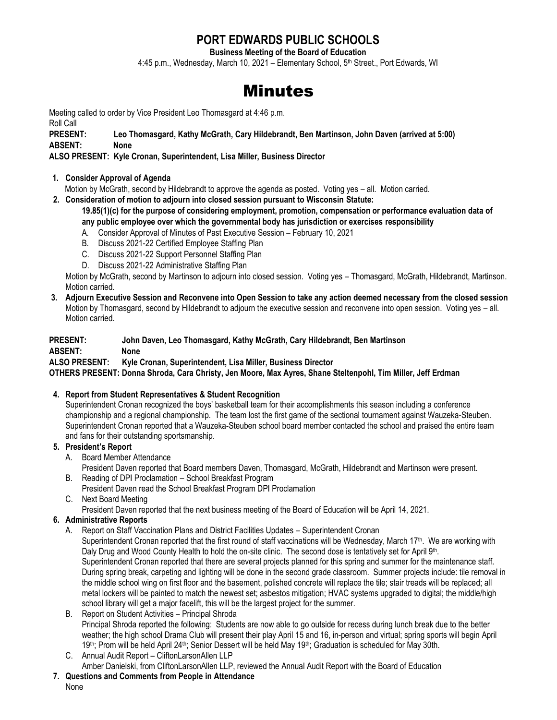## **PORT EDWARDS PUBLIC SCHOOLS**

**Business Meeting of the Board of Education**

4:45 p.m., Wednesday, March 10, 2021 - Elementary School, 5<sup>th</sup> Street., Port Edwards, WI

# Minutes

Meeting called to order by Vice President Leo Thomasgard at 4:46 p.m.

Roll Call

**PRESENT: Leo Thomasgard, Kathy McGrath, Cary Hildebrandt, Ben Martinson, John Daven (arrived at 5:00) ABSENT: None**

**ALSO PRESENT: Kyle Cronan, Superintendent, Lisa Miller, Business Director**

#### **1. Consider Approval of Agenda**

Motion by McGrath, second by Hildebrandt to approve the agenda as posted. Voting yes – all. Motion carried.

**2. Consideration of motion to adjourn into closed session pursuant to Wisconsin Statute:** 

#### **19.85(1)(c) for the purpose of considering employment, promotion, compensation or performance evaluation data of any public employee over which the governmental body has jurisdiction or exercises responsibility**

- A. Consider Approval of Minutes of Past Executive Session February 10, 2021
- B. Discuss 2021-22 Certified Employee Staffing Plan
- C. Discuss 2021-22 Support Personnel Staffing Plan
- D. Discuss 2021-22 Administrative Staffing Plan

Motion by McGrath, second by Martinson to adjourn into closed session. Voting yes – Thomasgard, McGrath, Hildebrandt, Martinson. Motion carried.

**3. Adjourn Executive Session and Reconvene into Open Session to take any action deemed necessary from the closed session** Motion by Thomasgard, second by Hildebrandt to adjourn the executive session and reconvene into open session. Voting yes – all. Motion carried.

### **PRESENT: John Daven, Leo Thomasgard, Kathy McGrath, Cary Hildebrandt, Ben Martinson ABSENT: None ALSO PRESENT: Kyle Cronan, Superintendent, Lisa Miller, Business Director**

**OTHERS PRESENT: Donna Shroda, Cara Christy, Jen Moore, Max Ayres, Shane Steltenpohl, Tim Miller, Jeff Erdman**

#### **4. Report from Student Representatives & Student Recognition**

Superintendent Cronan recognized the boys' basketball team for their accomplishments this season including a conference championship and a regional championship. The team lost the first game of the sectional tournament against Wauzeka-Steuben. Superintendent Cronan reported that a Wauzeka-Steuben school board member contacted the school and praised the entire team and fans for their outstanding sportsmanship.

- **5. President's Report**
	- A. Board Member Attendance
		- President Daven reported that Board members Daven, Thomasgard, McGrath, Hildebrandt and Martinson were present.
	- B. Reading of DPI Proclamation School Breakfast Program President Daven read the School Breakfast Program DPI Proclamation
	- C. Next Board Meeting

President Daven reported that the next business meeting of the Board of Education will be April 14, 2021.

#### **6. Administrative Reports**

A. Report on Staff Vaccination Plans and District Facilities Updates – Superintendent Cronan Superintendent Cronan reported that the first round of staff vaccinations will be Wednesday, March 17<sup>th</sup>. We are working with Daly Drug and Wood County Health to hold the on-site clinic. The second dose is tentatively set for April 9<sup>th</sup>. Superintendent Cronan reported that there are several projects planned for this spring and summer for the maintenance staff. During spring break, carpeting and lighting will be done in the second grade classroom. Summer projects include: tile removal in the middle school wing on first floor and the basement, polished concrete will replace the tile; stair treads will be replaced; all metal lockers will be painted to match the newest set; asbestos mitigation; HVAC systems upgraded to digital; the middle/high school library will get a major facelift, this will be the largest project for the summer.

- B. Report on Student Activities Principal Shroda Principal Shroda reported the following: Students are now able to go outside for recess during lunch break due to the better weather; the high school Drama Club will present their play April 15 and 16, in-person and virtual; spring sports will begin April 19th; Prom will be held April 24th; Senior Dessert will be held May 19th; Graduation is scheduled for May 30th.
- C. Annual Audit Report CliftonLarsonAllen LLP Amber Danielski, from CliftonLarsonAllen LLP, reviewed the Annual Audit Report with the Board of Education
- **7. Questions and Comments from People in Attendance**

None